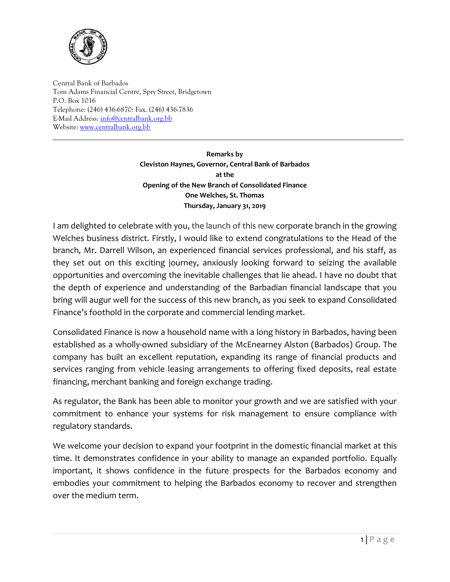

Central Bank of Barbados Tom Adams Financial Centre, Spry Street, Bridgetown P.O. Box 1016 Telephone: (246) 436-6870: Fax. (246) 436-7836 E-Mail Address[: info@centralbank.org.bb](mailto:info@centralbank.org.bb) Website: [www.centralbank.org.bb](http://www.centralbank.org.bb/)

> **Remarks by Cleviston Haynes, Governor, Central Bank of Barbados at the Opening of the New Branch of Consolidated Finance One Welches, St. Thomas Thursday, January 31, 2019**

I am delighted to celebrate with you, the launch of this new corporate branch in the growing Welches business district. Firstly, I would like to extend congratulations to the Head of the branch, Mr. Darrell Wilson, an experienced financial services professional, and his staff, as they set out on this exciting journey, anxiously looking forward to seizing the available opportunities and overcoming the inevitable challenges that lie ahead. I have no doubt that the depth of experience and understanding of the Barbadian financial landscape that you bring will augur well for the success of this new branch, as you seek to expand Consolidated Finance's foothold in the corporate and commercial lending market.

Consolidated Finance is now a household name with a long history in Barbados, having been established as a wholly-owned subsidiary of the McEnearney Alston (Barbados) Group. The company has built an excellent reputation, expanding its range of financial products and services ranging from vehicle leasing arrangements to offering fixed deposits, real estate financing, merchant banking and foreign exchange trading.

As regulator, the Bank has been able to monitor your growth and we are satisfied with your commitment to enhance your systems for risk management to ensure compliance with regulatory standards.

We welcome your decision to expand your footprint in the domestic financial market at this time. It demonstrates confidence in your ability to manage an expanded portfolio. Equally important, it shows confidence in the future prospects for the Barbados economy and embodies your commitment to helping the Barbados economy to recover and strengthen over the medium term.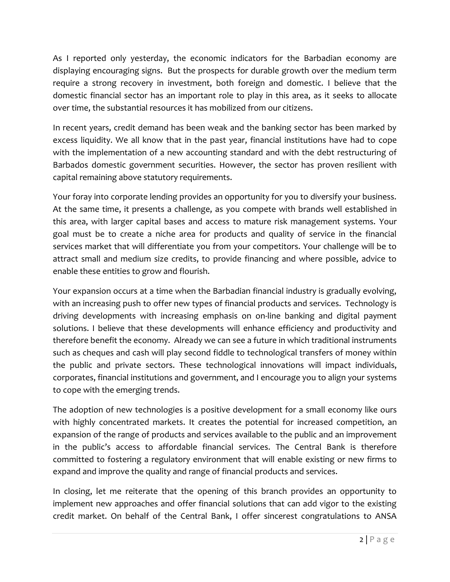As I reported only yesterday, the economic indicators for the Barbadian economy are displaying encouraging signs. But the prospects for durable growth over the medium term require a strong recovery in investment, both foreign and domestic. I believe that the domestic financial sector has an important role to play in this area, as it seeks to allocate over time, the substantial resources it has mobilized from our citizens.

In recent years, credit demand has been weak and the banking sector has been marked by excess liquidity. We all know that in the past year, financial institutions have had to cope with the implementation of a new accounting standard and with the debt restructuring of Barbados domestic government securities. However, the sector has proven resilient with capital remaining above statutory requirements.

Your foray into corporate lending provides an opportunity for you to diversify your business. At the same time, it presents a challenge, as you compete with brands well established in this area, with larger capital bases and access to mature risk management systems. Your goal must be to create a niche area for products and quality of service in the financial services market that will differentiate you from your competitors. Your challenge will be to attract small and medium size credits, to provide financing and where possible, advice to enable these entities to grow and flourish.

Your expansion occurs at a time when the Barbadian financial industry is gradually evolving, with an increasing push to offer new types of financial products and services. Technology is driving developments with increasing emphasis on on-line banking and digital payment solutions. I believe that these developments will enhance efficiency and productivity and therefore benefit the economy. Already we can see a future in which traditional instruments such as cheques and cash will play second fiddle to technological transfers of money within the public and private sectors. These technological innovations will impact individuals, corporates, financial institutions and government, and I encourage you to align your systems to cope with the emerging trends.

The adoption of new technologies is a positive development for a small economy like ours with highly concentrated markets. It creates the potential for increased competition, an expansion of the range of products and services available to the public and an improvement in the public's access to affordable financial services. The Central Bank is therefore committed to fostering a regulatory environment that will enable existing or new firms to expand and improve the quality and range of financial products and services.

In closing, let me reiterate that the opening of this branch provides an opportunity to implement new approaches and offer financial solutions that can add vigor to the existing credit market. On behalf of the Central Bank, I offer sincerest congratulations to ANSA